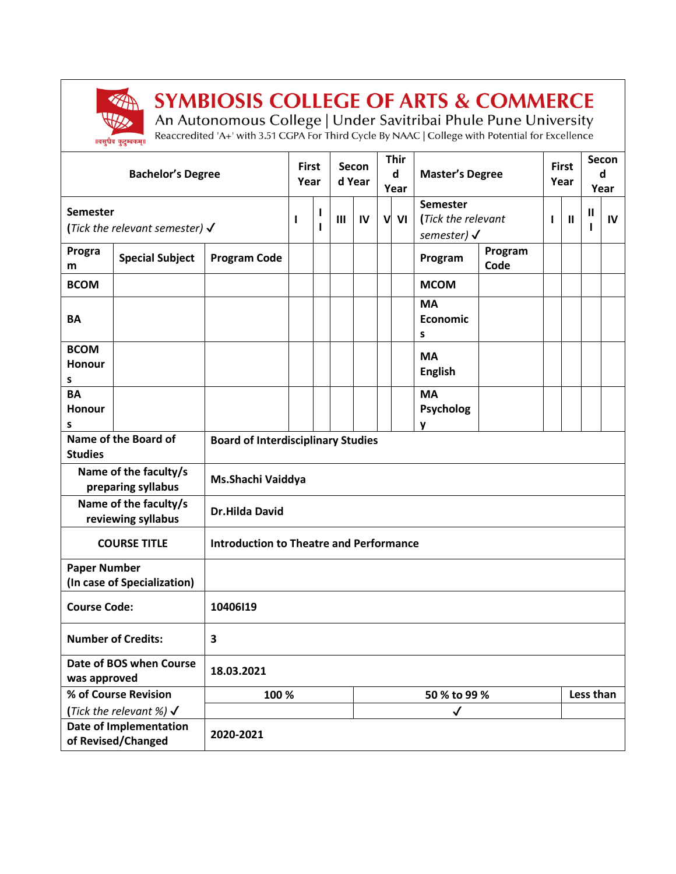

## **SYMBIOSIS COLLEGE OF ARTS & COMMERCE**

An Autonomous College | Under Savitribai Phule Pune University<br>Reaccredited 'A+' with 3.51 CGPA For Third Cycle By NAAC | College with Potential for Excellence

|                                                     | <b>Bachelor's Degree</b>                  |                                                | <b>First</b><br>Year      |        |                | Secon<br>d Year |   | <b>Thir</b><br>d<br>Year | <b>Master's Degree</b>                                          |                 |   | <b>First</b><br>Year |  | Secon<br>d<br>Year |  |
|-----------------------------------------------------|-------------------------------------------|------------------------------------------------|---------------------------|--------|----------------|-----------------|---|--------------------------|-----------------------------------------------------------------|-----------------|---|----------------------|--|--------------------|--|
| Semester                                            | (Tick the relevant semester) $\checkmark$ |                                                | I                         | L<br>ı | $\mathbf{III}$ | IV              | V | VI                       | <b>Semester</b><br>(Tick the relevant<br>semester) $\checkmark$ |                 | L | Ш<br>$\mathbf{II}$   |  | IV                 |  |
| Progra<br>m                                         | <b>Special Subject</b>                    | <b>Program Code</b>                            |                           |        |                |                 |   |                          | Program                                                         | Program<br>Code |   |                      |  |                    |  |
| <b>BCOM</b>                                         |                                           |                                                |                           |        |                |                 |   |                          | <b>MCOM</b>                                                     |                 |   |                      |  |                    |  |
| <b>BA</b>                                           |                                           |                                                |                           |        |                |                 |   |                          | <b>MA</b><br><b>Economic</b><br>s                               |                 |   |                      |  |                    |  |
| <b>BCOM</b><br>Honour<br>S                          |                                           |                                                |                           |        |                |                 |   |                          | <b>MA</b><br><b>English</b>                                     |                 |   |                      |  |                    |  |
| <b>BA</b><br>Honour<br>s                            |                                           |                                                |                           |        |                |                 |   |                          | <b>MA</b><br><b>Psycholog</b><br>y                              |                 |   |                      |  |                    |  |
| Name of the Board of<br><b>Studies</b>              |                                           | <b>Board of Interdisciplinary Studies</b>      |                           |        |                |                 |   |                          |                                                                 |                 |   |                      |  |                    |  |
| Name of the faculty/s<br>preparing syllabus         |                                           | Ms.Shachi Vaiddya                              |                           |        |                |                 |   |                          |                                                                 |                 |   |                      |  |                    |  |
| Name of the faculty/s<br>reviewing syllabus         |                                           | <b>Dr.Hilda David</b>                          |                           |        |                |                 |   |                          |                                                                 |                 |   |                      |  |                    |  |
| <b>COURSE TITLE</b>                                 |                                           | <b>Introduction to Theatre and Performance</b> |                           |        |                |                 |   |                          |                                                                 |                 |   |                      |  |                    |  |
| <b>Paper Number</b><br>(In case of Specialization)  |                                           |                                                |                           |        |                |                 |   |                          |                                                                 |                 |   |                      |  |                    |  |
| <b>Course Code:</b>                                 |                                           | 10406119                                       |                           |        |                |                 |   |                          |                                                                 |                 |   |                      |  |                    |  |
| <b>Number of Credits:</b><br>3                      |                                           |                                                |                           |        |                |                 |   |                          |                                                                 |                 |   |                      |  |                    |  |
| Date of BOS when Course<br>was approved             |                                           | 18.03.2021                                     |                           |        |                |                 |   |                          |                                                                 |                 |   |                      |  |                    |  |
| % of Course Revision                                |                                           | 100 %                                          | 50 % to 99 %<br>Less than |        |                |                 |   |                          |                                                                 |                 |   |                      |  |                    |  |
| (Tick the relevant %) $\checkmark$                  |                                           |                                                |                           |        |                |                 |   |                          | $\checkmark$                                                    |                 |   |                      |  |                    |  |
| <b>Date of Implementation</b><br>of Revised/Changed |                                           | 2020-2021                                      |                           |        |                |                 |   |                          |                                                                 |                 |   |                      |  |                    |  |